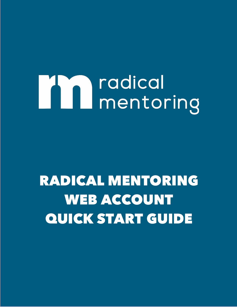# **MA** radical<br>mentoring

# RADICAL MENTORING RADICAL MENTORING WEB ACCOUNT WEB ACCOUNT QUICK START GUIDE QUICK START GUIDE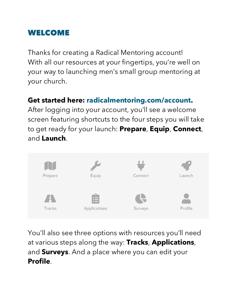## WELCOME

Thanks for creating a Radical Mentoring account! With all our resources at your fingertips, you're well on your way to launching men's small group mentoring at your church.

#### **Get started here: radicalmentoring.com/account.**

After logging into your account, you'll see a welcome screen featuring shortcuts to the four steps you will take to get ready for your launch: **Prepare**, **Equip**, **Connect**, and **Launch**.



You'll also see three options with resources you'll need at various steps along the way: **Tracks**, **Applications**, and **Surveys**. And a place where you can edit your **Profile**.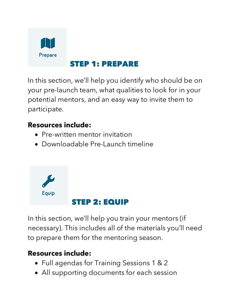

#### STEP 1: PREPARE

In this section, we'll help you identify who should be on your pre-launch team, what qualities to look for in your potential mentors, and an easy way to invite them to participate.

#### **Resources include:**

- Pre-written mentor invitation
- Downloadable Pre-Launch timeline



In this section, we'll help you train your mentors (if necessary). This includes all of the materials you'll need to prepare them for the mentoring season.

#### **Resources include:**

- Full agendas for Training Sessions 1 & 2
- All supporting documents for each session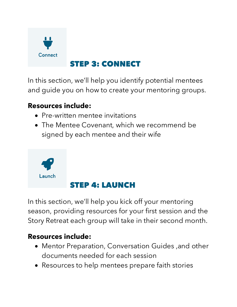

## STEP 3: CONNECT

In this section, we'll help you identify potential mentees and guide you on how to create your mentoring groups.

#### **Resources include:**

- Pre-written mentee invitations
- The Mentee Covenant, which we recommend be signed by each mentee and their wife



In this section, we'll help you kick off your mentoring season, providing resources for your first session and the Story Retreat each group will take in their second month.

#### **Resources include:**

- Mentor Preparation, Conversation Guides ,and other documents needed for each session
- Resources to help mentees prepare faith stories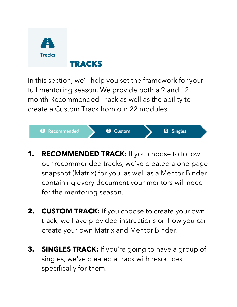

In this section, we'll help you set the framework for your full mentoring season. We provide both a 9 and 12 month Recommended Track as well as the ability to create a Custom Track from our 22 modules.



- **1. RECOMMENDED TRACK:** If you choose to follow our recommended tracks, we've created a one-page snapshot (Matrix) for you, as well as a Mentor Binder containing every document your mentors will need for the mentoring season.
- **2. CUSTOM TRACK:** If you choose to create your own track, we have provided instructions on how you can create your own Matrix and Mentor Binder.
- **3. SINGLES TRACK:** If you're going to have a group of singles, we've created a track with resources specifically for them.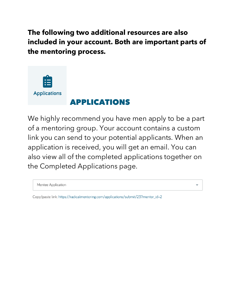**The following two additional resources are also included in your account. Both are important parts of the mentoring process.**



We highly recommend you have men apply to be a part of a mentoring group. Your account contains a custom link you can send to your potential applicants. When an application is received, you will get an email. You can also view all of the completed applications together on the Completed Applications page.

Mentee Application

Copy/paste link: https://radicalmentoring.com/applications/submit/23?mentor\_id=2